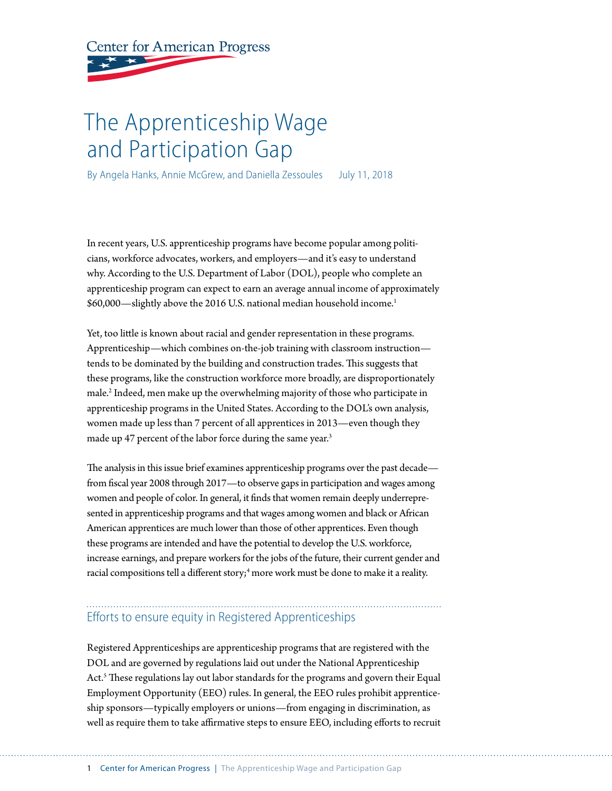**Center for American Progress** 

# The Apprenticeship Wage and Participation Gap

By Angela Hanks, Annie McGrew, and Daniella Zessoules July 11, 2018

In recent years, U.S. apprenticeship programs have become popular among politicians, workforce advocates, workers, and employers—and it's easy to understand why. According to the U.S. Department of Labor (DOL), people who complete an apprenticeship program can expect to earn an average annual income of approximately \$60,000—slightly above the 2016 U.S. national median household income.1

Yet, too litle is known about racial and gender representation in these programs. Apprenticeship—which combines on-the-job training with classroom instruction tends to be dominated by the building and construction trades. This suggests that these programs, like the construction workforce more broadly, are disproportionately male.2 Indeed, men make up the overwhelming majority of those who participate in apprenticeship programs in the United States. According to the DOL's own analysis, women made up less than 7 percent of all apprentices in 2013—even though they made up 47 percent of the labor force during the same year.<sup>3</sup>

The analysis in this issue brief examines apprenticeship programs over the past decade from fscal year 2008 through 2017—to observe gaps in participation and wages among women and people of color. In general, it fnds that women remain deeply underrepresented in apprenticeship programs and that wages among women and black or African American apprentices are much lower than those of other apprentices. Even though these programs are intended and have the potential to develop the U.S. workforce, increase earnings, and prepare workers for the jobs of the future, their current gender and racial compositions tell a different story; $^{\rm 4}$  more work must be done to make it a reality.

## Efforts to ensure equity in Registered Apprenticeships

Registered Apprenticeships are apprenticeship programs that are registered with the DOL and are governed by regulations laid out under the National Apprenticeship Act. $<sup>5</sup>$  These regulations lay out labor standards for the programs and govern their Equal</sup> Employment Opportunity (EEO) rules. In general, the EEO rules prohibit apprenticeship sponsors—typically employers or unions—from engaging in discrimination, as well as require them to take afrmative steps to ensure EEO, including eforts to recruit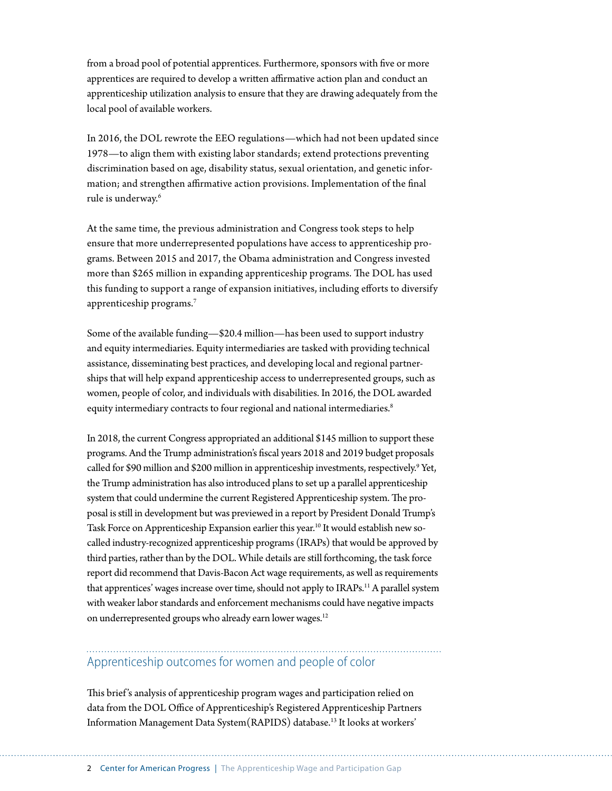from a broad pool of potential apprentices. Furthermore, sponsors with fve or more apprentices are required to develop a written affirmative action plan and conduct an apprenticeship utilization analysis to ensure that they are drawing adequately from the local pool of available workers.

In 2016, the DOL rewrote the EEO regulations—which had not been updated since 1978—to align them with existing labor standards; extend protections preventing discrimination based on age, disability status, sexual orientation, and genetic information; and strengthen affirmative action provisions. Implementation of the final rule is underway.<sup>6</sup>

At the same time, the previous administration and Congress took steps to help ensure that more underrepresented populations have access to apprenticeship programs. Between 2015 and 2017, the Obama administration and Congress invested more than \$265 million in expanding apprenticeship programs. The DOL has used this funding to support a range of expansion initiatives, including eforts to diversify apprenticeship programs.7

Some of the available funding—\$20.4 million—has been used to support industry and equity intermediaries. Equity intermediaries are tasked with providing technical assistance, disseminating best practices, and developing local and regional partnerships that will help expand apprenticeship access to underrepresented groups, such as women, people of color, and individuals with disabilities. In 2016, the DOL awarded equity intermediary contracts to four regional and national intermediaries.<sup>8</sup>

In 2018, the current Congress appropriated an additional \$145 million to support these programs. And the Trump administration's fscal years 2018 and 2019 budget proposals called for \$90 million and \$200 million in apprenticeship investments, respectively.<sup>9</sup> Yet, the Trump administration has also introduced plans to set up a parallel apprenticeship system that could undermine the current Registered Apprenticeship system. The proposal is still in development but was previewed in a report by President Donald Trump's Task Force on Apprenticeship Expansion earlier this year.<sup>10</sup> It would establish new socalled industry-recognized apprenticeship programs (IRAPs) that would be approved by third parties, rather than by the DOL. While details are still forthcoming, the task force report did recommend that Davis-Bacon Act wage requirements, as well as requirements that apprentices' wages increase over time, should not apply to IRAPs.<sup>11</sup> A parallel system with weaker labor standards and enforcement mechanisms could have negative impacts on underrepresented groups who already earn lower wages.<sup>12</sup>

## Apprenticeship outcomes for women and people of color

This brief's analysis of apprenticeship program wages and participation relied on data from the DOL Office of Apprenticeship's Registered Apprenticeship Partners Information Management Data System (RAPIDS) database.<sup>13</sup> It looks at workers'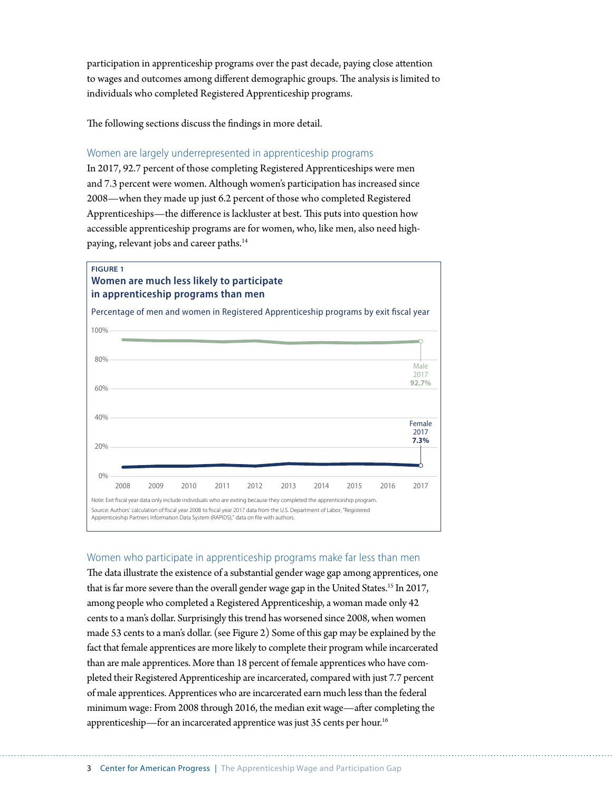participation in apprenticeship programs over the past decade, paying close atention to wages and outcomes among different demographic groups. The analysis is limited to individuals who completed Registered Apprenticeship programs.

The following sections discuss the findings in more detail.

### Women are largely underrepresented in apprenticeship programs

In 2017, 92.7 percent of those completing Registered Apprenticeships were men and 7.3 percent were women. Although women's participation has increased since 2008—when they made up just 6.2 percent of those who completed Registered Apprenticeships—the difference is lackluster at best. This puts into question how accessible apprenticeship programs are for women, who, like men, also need highpaying, relevant jobs and career paths.<sup>14</sup>

### **FIGURE 1 Women are much less likely to participate in apprenticeship programs than men** Percentage of men and women in Registered Apprenticeship programs by exit fiscal year Note: Exit fscal year data only include individuals who are exiting because they completed the apprenticeship program. Source: Authors' calculation of fscal year 2008 to fscal year 2017 data from the U.S. Department of Labor, "Registered Apprenticeship Partners Information Data System (RAPIDS)," data on fle with authors. 0% 20% 40% 60% 80% 100% 2008 2009 2010 2011 2012 2013 2014 2015 2016 2017 Female 2017 **7.3%** Male 2017 **92.7%**

### Women who participate in apprenticeship programs make far less than men

The data illustrate the existence of a substantial gender wage gap among apprentices, one that is far more severe than the overall gender wage gap in the United States.15 In 2017, among people who completed a Registered Apprenticeship, a woman made only 42 cents to a man's dollar. Surprisingly this trend has worsened since 2008, when women made 53 cents to a man's dollar. (see Figure 2) Some of this gap may be explained by the fact that female apprentices are more likely to complete their program while incarcerated than are male apprentices. More than 18 percent of female apprentices who have completed their Registered Apprenticeship are incarcerated, compared with just 7.7 percent of male apprentices. Apprentices who are incarcerated earn much less than the federal minimum wage: From 2008 through 2016, the median exit wage—afer completing the apprenticeship—for an incarcerated apprentice was just 35 cents per hour.<sup>16</sup>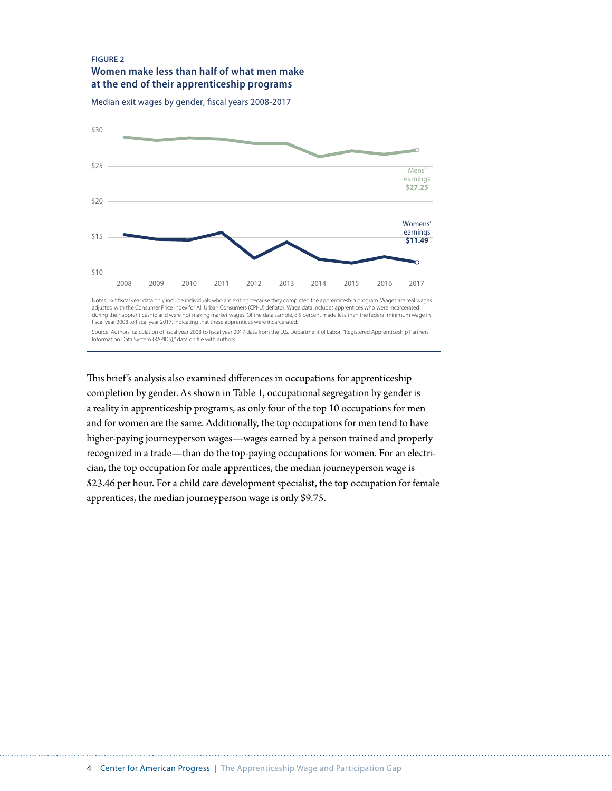

This brief's analysis also examined differences in occupations for apprenticeship completion by gender. As shown in Table 1, occupational segregation by gender is a reality in apprenticeship programs, as only four of the top 10 occupations for men and for women are the same. Additionally, the top occupations for men tend to have higher-paying journeyperson wages—wages earned by a person trained and properly recognized in a trade—than do the top-paying occupations for women. For an electrician, the top occupation for male apprentices, the median journeyperson wage is \$23.46 per hour. For a child care development specialist, the top occupation for female apprentices, the median journeyperson wage is only \$9.75.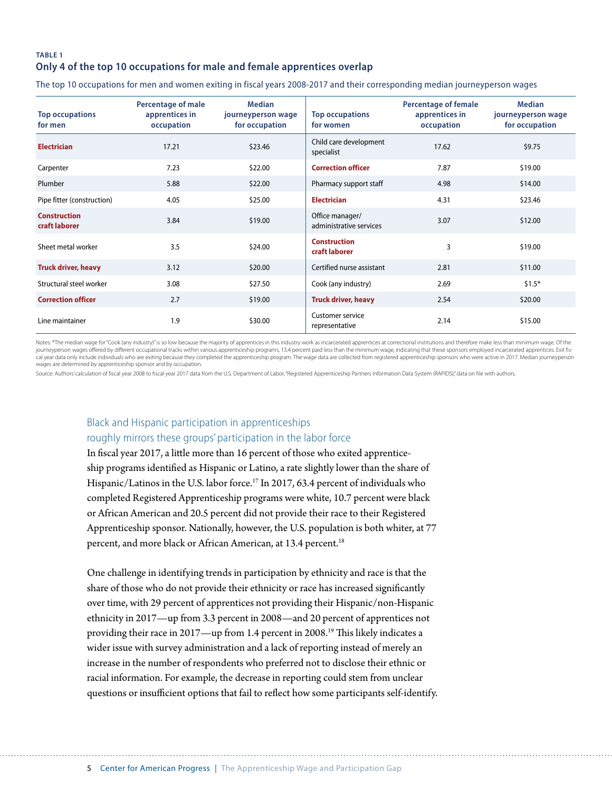### **TABLE 1 Only 4 of the top 10 occupations for male and female apprentices overlap**

The top 10 occupations for men and women exiting in fiscal years 2008-2017 and their corresponding median journeyperson wages

| <b>Top occupations</b><br>for men    | Percentage of male<br>apprentices in<br>occupation | <b>Median</b><br>journeyperson wage<br>for occupation | <b>Top occupations</b><br>for women        | Percentage of female<br>apprentices in<br>occupation | <b>Median</b><br>journeyperson wage<br>for occupation |
|--------------------------------------|----------------------------------------------------|-------------------------------------------------------|--------------------------------------------|------------------------------------------------------|-------------------------------------------------------|
| <b>Electrician</b>                   | 17.21                                              | \$23.46                                               | Child care development<br>specialist       | 17.62                                                | \$9.75                                                |
| Carpenter                            | 7.23                                               | \$22.00                                               | <b>Correction officer</b>                  | 7.87                                                 | \$19.00                                               |
| Plumber                              | 5.88                                               | \$22.00                                               | Pharmacy support staff                     | 4.98                                                 | \$14.00                                               |
| Pipe fitter (construction)           | 4.05                                               | \$25.00                                               | <b>Electrician</b>                         | 4.31                                                 | \$23.46                                               |
| <b>Construction</b><br>craft laborer | 3.84                                               | \$19.00                                               | Office manager/<br>administrative services | 3.07                                                 | \$12.00                                               |
| Sheet metal worker                   | 3.5                                                | \$24.00                                               | <b>Construction</b><br>craft laborer       | 3                                                    | \$19.00                                               |
| <b>Truck driver, heavy</b>           | 3.12                                               | \$20.00                                               | Certified nurse assistant                  | 2.81                                                 | \$11.00                                               |
| Structural steel worker              | 3.08                                               | \$27.50                                               | Cook (any industry)                        | 2.69                                                 | $$1.5*$                                               |
| <b>Correction officer</b>            | 2.7                                                | \$19.00                                               | <b>Truck driver, heavy</b>                 | 2.54                                                 | \$20.00                                               |
| Line maintainer                      | 1.9                                                | \$30.00                                               | Customer service<br>representative         | 2.14                                                 | \$15.00                                               |

Notes: \*The median wage for "Cook (any industry)" is so low because the majority of apprentices in this industry work as incarcerated apprentices at correctional institutions and therefore make less than minimum wage. Of t journeyperson wages offered by different occupational tracks within various apprenticeship programs, 13.4 percent paid less than the minimum wage, indicating that these sponsors employed incarcerated apprentices. Exit fiscal year data only include individuals who are exiting because they completed the apprenticeship program. The wage data are collected from registered apprenticeship sponsors who were active in 2017. Median journeyperson<br>wa

Source: Authors' calculation of fiscal year 2008 to fiscal year 2017 data from the U.S. Department of Labor, "Registered Apprenticeship Partners Information Data System (RAPIDS)," data on file with authors.

### Black and Hispanic participation in apprenticeships roughly mirrors these groups' participation in the labor force

In fscal year 2017, a litle more than 16 percent of those who exited apprenticeship programs identifed as Hispanic or Latino, a rate slightly lower than the share of Hispanic/Latinos in the U.S. labor force.<sup>17</sup> In 2017, 63.4 percent of individuals who completed Registered Apprenticeship programs were white, 10.7 percent were black or African American and 20.5 percent did not provide their race to their Registered Apprenticeship sponsor. Nationally, however, the U.S. population is both whiter, at 77 percent, and more black or African American, at 13.4 percent.<sup>18</sup>

One challenge in identifying trends in participation by ethnicity and race is that the share of those who do not provide their ethnicity or race has increased signifcantly over time, with 29 percent of apprentices not providing their Hispanic/non-Hispanic ethnicity in 2017—up from 3.3 percent in 2008—and 20 percent of apprentices not providing their race in 2017—up from 1.4 percent in 2008.<sup>19</sup> This likely indicates a wider issue with survey administration and a lack of reporting instead of merely an increase in the number of respondents who preferred not to disclose their ethnic or racial information. For example, the decrease in reporting could stem from unclear questions or insufficient options that fail to reflect how some participants self-identify.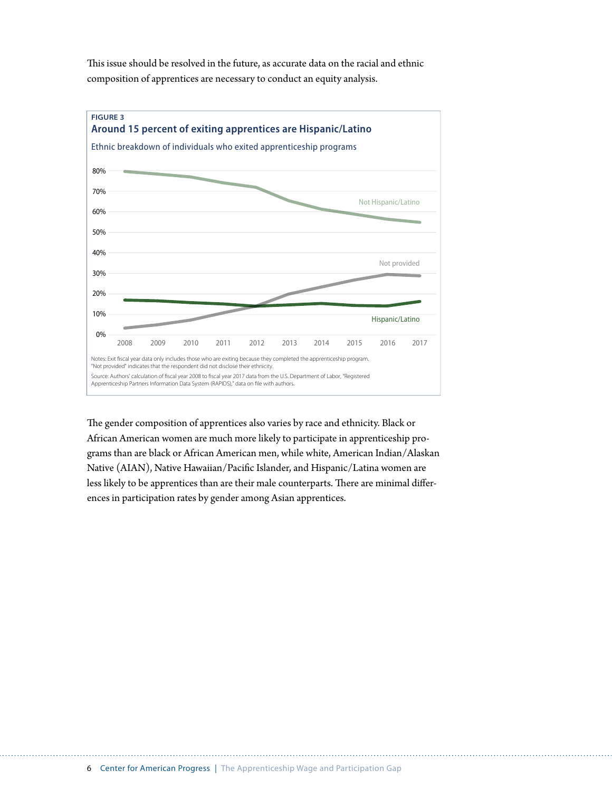This issue should be resolved in the future, as accurate data on the racial and ethnic composition of apprentices are necessary to conduct an equity analysis.



The gender composition of apprentices also varies by race and ethnicity. Black or African American women are much more likely to participate in apprenticeship programs than are black or African American men, while white, American Indian/Alaskan Native (AIAN), Native Hawaiian/Pacifc Islander, and Hispanic/Latina women are less likely to be apprentices than are their male counterparts. There are minimal differences in participation rates by gender among Asian apprentices.

6 Center for American Progress | The Apprenticeship Wage and Participation Gap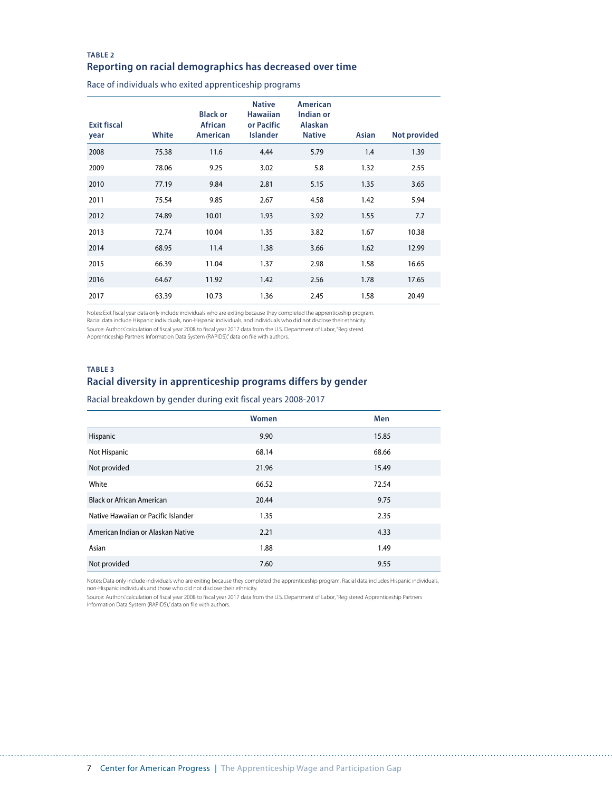### **TABLE 2 Reporting on racial demographics has decreased over time**

Race of individuals who exited apprenticeship programs

| <b>Exit fiscal</b><br>year | White | <b>Black or</b><br><b>African</b><br>American | <b>Native</b><br><b>Hawaiian</b><br>or Pacific<br>Islander | American<br>Indian or<br><b>Alaskan</b><br><b>Native</b> | Asian | <b>Not provided</b> |
|----------------------------|-------|-----------------------------------------------|------------------------------------------------------------|----------------------------------------------------------|-------|---------------------|
| 2008                       | 75.38 | 11.6                                          | 4.44                                                       | 5.79                                                     | 1.4   | 1.39                |
| 2009                       | 78.06 | 9.25                                          | 3.02                                                       | 5.8                                                      | 1.32  | 2.55                |
| 2010                       | 77.19 | 9.84                                          | 2.81                                                       | 5.15                                                     | 1.35  | 3.65                |
| 2011                       | 75.54 | 9.85                                          | 2.67                                                       | 4.58                                                     | 1.42  | 5.94                |
| 2012                       | 74.89 | 10.01                                         | 1.93                                                       | 3.92                                                     | 1.55  | 7.7                 |
| 2013                       | 72.74 | 10.04                                         | 1.35                                                       | 3.82                                                     | 1.67  | 10.38               |
| 2014                       | 68.95 | 11.4                                          | 1.38                                                       | 3.66                                                     | 1.62  | 12.99               |
| 2015                       | 66.39 | 11.04                                         | 1.37                                                       | 2.98                                                     | 1.58  | 16.65               |
| 2016                       | 64.67 | 11.92                                         | 1.42                                                       | 2.56                                                     | 1.78  | 17.65               |
| 2017                       | 63.39 | 10.73                                         | 1.36                                                       | 2.45                                                     | 1.58  | 20.49               |

Notes: Exit fiscal year data only include individuals who are exiting because they completed the apprenticeship program. Racial data include Hispanic individuals, non-Hispanic individuals, and individuals who did not disclose their ethnicity.

Source: Authors' calculation of fiscal year 2008 to fiscal year 2017 data from the U.S. Department of Labor, "Registered<br>Apprenticeship Partners Information Data System (RAPIDS)," data on file with authors.

### **TABLE 3 Racial diversity in apprenticeship programs differs by gender**

Racial breakdown by gender during exit fiscal years 2008-2017

|                                     | Women | Men   |
|-------------------------------------|-------|-------|
| Hispanic                            | 9.90  | 15.85 |
| Not Hispanic                        | 68.14 | 68.66 |
| Not provided                        | 21.96 | 15.49 |
| White                               | 66.52 | 72.54 |
| <b>Black or African American</b>    | 20.44 | 9.75  |
| Native Hawaiian or Pacific Islander | 1.35  | 2.35  |
| American Indian or Alaskan Native   | 2.21  | 4.33  |
| Asian                               | 1.88  | 1.49  |
| Not provided                        | 7.60  | 9.55  |

Notes: Data only include individuals who are exiting because they completed the apprenticeship program. Racial data includes Hispanic individuals,<br>non-Hispanic individuals and those who did not disclose their ethnicity.

Source: Authors' calculation of fiscal year 2008 to fiscal year 2017 data from the U.S. Department of Labor, "Registered Apprenticeship Partners<br>Information Data System (RAPIDS)," data on file with authors.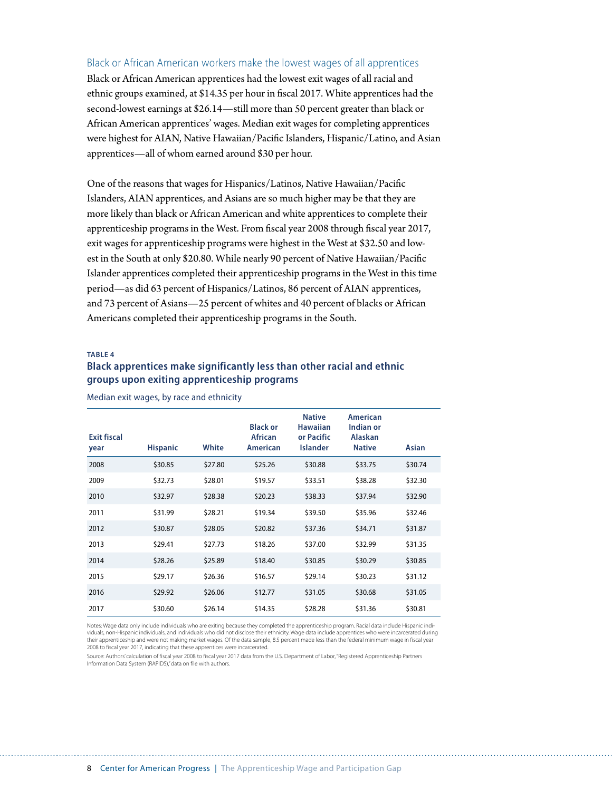### Black or African American workers make the lowest wages of all apprentices

Black or African American apprentices had the lowest exit wages of all racial and ethnic groups examined, at \$14.35 per hour in fscal 2017. White apprentices had the second-lowest earnings at \$26.14—still more than 50 percent greater than black or African American apprentices' wages. Median exit wages for completing apprentices were highest for AIAN, Native Hawaiian/Pacifc Islanders, Hispanic/Latino, and Asian apprentices—all of whom earned around \$30 per hour.

One of the reasons that wages for Hispanics/Latinos, Native Hawaiian/Pacifc Islanders, AIAN apprentices, and Asians are so much higher may be that they are more likely than black or African American and white apprentices to complete their apprenticeship programs in the West. From fscal year 2008 through fscal year 2017, exit wages for apprenticeship programs were highest in the West at \$32.50 and lowest in the South at only \$20.80. While nearly 90 percent of Native Hawaiian/Pacifc Islander apprentices completed their apprenticeship programs in the West in this time period—as did 63 percent of Hispanics/Latinos, 86 percent of AIAN apprentices, and 73 percent of Asians—25 percent of whites and 40 percent of blacks or African Americans completed their apprenticeship programs in the South.

### **TABLE 4**

### **Black apprentices make significantly less than other racial and ethnic groups upon exiting apprenticeship programs**

| <b>Exit fiscal</b><br>year | <b>Hispanic</b> | White   | <b>Black or</b><br><b>African</b><br><b>American</b> | <b>Native</b><br><b>Hawaiian</b><br>or Pacific<br><b>Islander</b> | American<br>Indian or<br><b>Alaskan</b><br><b>Native</b> | Asian   |
|----------------------------|-----------------|---------|------------------------------------------------------|-------------------------------------------------------------------|----------------------------------------------------------|---------|
| 2008                       | \$30.85         | \$27.80 | \$25.26                                              | \$30.88                                                           | \$33.75                                                  | \$30.74 |
| 2009                       | \$32.73         | \$28.01 | \$19.57                                              | \$33.51                                                           | \$38.28                                                  | \$32.30 |
| 2010                       | \$32.97         | \$28.38 | \$20.23                                              | \$38.33                                                           | \$37.94                                                  | \$32.90 |
| 2011                       | \$31.99         | \$28.21 | \$19.34                                              | \$39.50                                                           | \$35.96                                                  | \$32.46 |
| 2012                       | \$30.87         | \$28.05 | \$20.82                                              | \$37.36                                                           | \$34.71                                                  | \$31.87 |
| 2013                       | \$29.41         | \$27.73 | \$18.26                                              | \$37.00                                                           | \$32.99                                                  | \$31.35 |
| 2014                       | \$28.26         | \$25.89 | \$18.40                                              | \$30.85                                                           | \$30.29                                                  | \$30.85 |
| 2015                       | \$29.17         | \$26.36 | \$16.57                                              | \$29.14                                                           | \$30.23                                                  | \$31.12 |
| 2016                       | \$29.92         | \$26.06 | \$12.77                                              | \$31.05                                                           | \$30.68                                                  | \$31.05 |
| 2017                       | \$30.60         | \$26.14 | \$14.35                                              | \$28.28                                                           | \$31.36                                                  | \$30.81 |

Median exit wages, by race and ethnicity

Notes: Wage data only include individuals who are exiting because they completed the apprenticeship program. Racial data include Hispanic individuals, non-Hispanic individuals, and individuals who did not disclose their ethnicity. Wage data include apprentices who were incarcerated during their apprenticeship and were not making market wages. Of the data sample, 8.5 percent made less than the federal minimum wage in fiscal year 2008 to fiscal year 2017, indicating that these apprentices were incarcerated.

Source: Authors' calculation of fiscal year 2008 to fiscal year 2017 data from the U.S. Department of Labor, "Registered Apprenticeship Partners Information Data System (RAPIDS)," data on file with authors.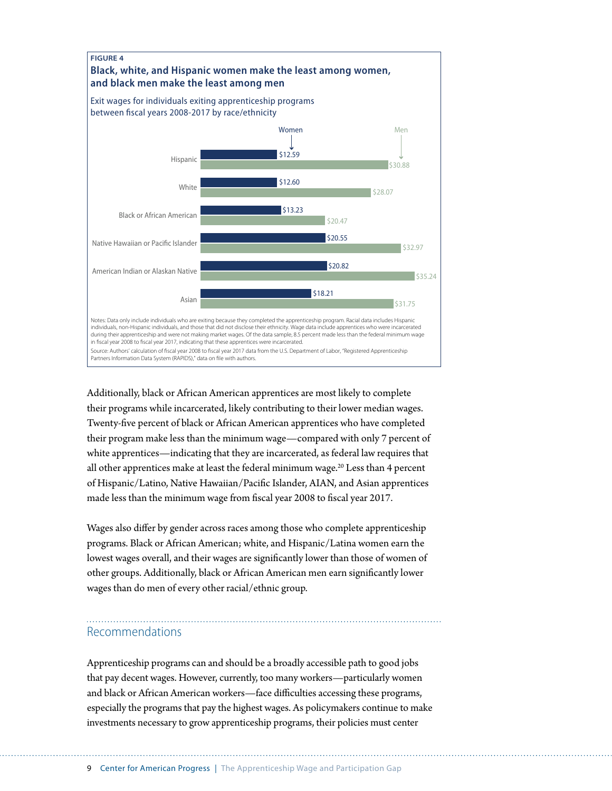

Additionally, black or African American apprentices are most likely to complete their programs while incarcerated, likely contributing to their lower median wages. Twenty-fve percent of black or African American apprentices who have completed their program make less than the minimum wage—compared with only 7 percent of white apprentices—indicating that they are incarcerated, as federal law requires that all other apprentices make at least the federal minimum wage.<sup>20</sup> Less than 4 percent of Hispanic/Latino, Native Hawaiian/Pacifc Islander, AIAN, and Asian apprentices made less than the minimum wage from fscal year 2008 to fscal year 2017.

Wages also difer by gender across races among those who complete apprenticeship programs. Black or African American; white, and Hispanic/Latina women earn the lowest wages overall, and their wages are signifcantly lower than those of women of other groups. Additionally, black or African American men earn signifcantly lower wages than do men of every other racial/ethnic group.

### Recommendations

Apprenticeship programs can and should be a broadly accessible path to good jobs that pay decent wages. However, currently, too many workers—particularly women and black or African American workers—face difficulties accessing these programs, especially the programs that pay the highest wages. As policymakers continue to make investments necessary to grow apprenticeship programs, their policies must center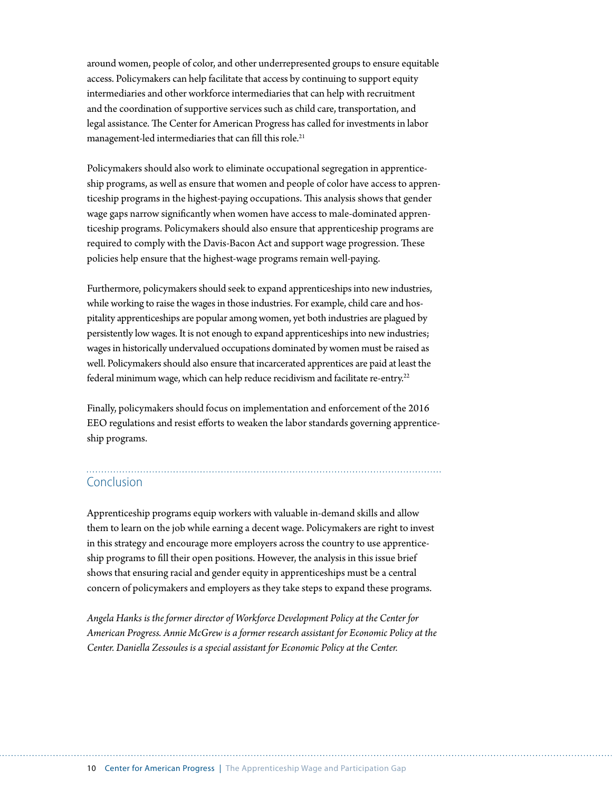around women, people of color, and other underrepresented groups to ensure equitable access. Policymakers can help facilitate that access by continuing to support equity intermediaries and other workforce intermediaries that can help with recruitment and the coordination of supportive services such as child care, transportation, and legal assistance. The Center for American Progress has called for investments in labor management-led intermediaries that can fill this role.<sup>21</sup>

Policymakers should also work to eliminate occupational segregation in apprenticeship programs, as well as ensure that women and people of color have access to apprenticeship programs in the highest-paying occupations. This analysis shows that gender wage gaps narrow signifcantly when women have access to male-dominated apprenticeship programs. Policymakers should also ensure that apprenticeship programs are required to comply with the Davis-Bacon Act and support wage progression. These policies help ensure that the highest-wage programs remain well-paying.

Furthermore, policymakers should seek to expand apprenticeships into new industries, while working to raise the wages in those industries. For example, child care and hospitality apprenticeships are popular among women, yet both industries are plagued by persistently low wages. It is not enough to expand apprenticeships into new industries; wages in historically undervalued occupations dominated by women must be raised as well. Policymakers should also ensure that incarcerated apprentices are paid at least the federal minimum wage, which can help reduce recidivism and facilitate re-entry.<sup>22</sup>

Finally, policymakers should focus on implementation and enforcement of the 2016 EEO regulations and resist efforts to weaken the labor standards governing apprenticeship programs.

# Conclusion

Apprenticeship programs equip workers with valuable in-demand skills and allow them to learn on the job while earning a decent wage. Policymakers are right to invest in this strategy and encourage more employers across the country to use apprenticeship programs to fll their open positions. However, the analysis in this issue brief shows that ensuring racial and gender equity in apprenticeships must be a central concern of policymakers and employers as they take steps to expand these programs.

*Angela Hanks is the former director of Workforce Development Policy at the Center for American Progress. Annie McGrew is a former research assistant for Economic Policy at the Center. Daniella Zessoules is a special assistant for Economic Policy at the Center.*